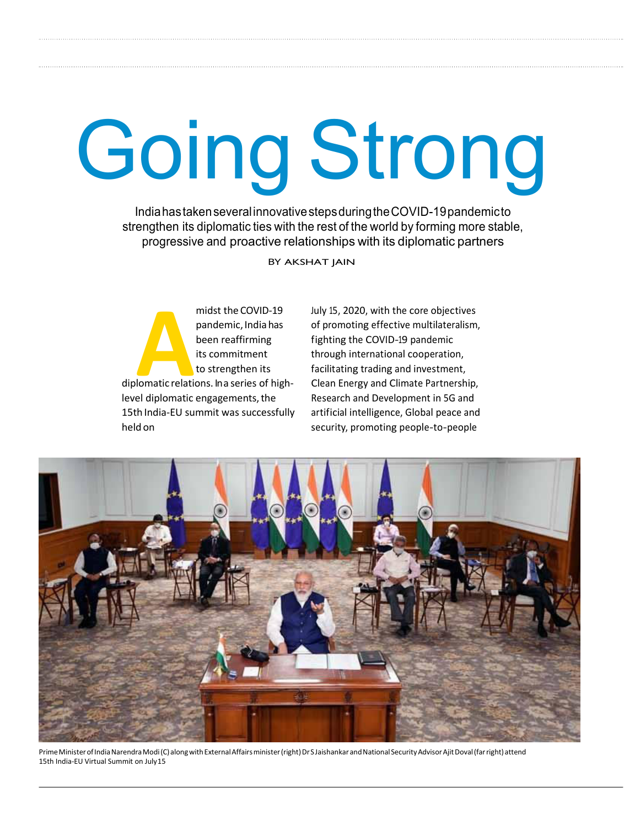# Going Strong

India has taken several innovative steps during the COVID-19 pandemic to strengthen its diplomatic ties with the rest of the world by forming more stable, progressive and proactive relationships with its diplomatic partners

BY AKSHAT JAIN

midst the COVID-19<br>
pandemic, India has<br>
been reaffirming<br>
its commitment<br>
to strengthen its<br>
diplomatic relations. In a series of highmidst the COVID-19 pandemic, India has been reaffirming its commitment to strengthen its level diplomatic engagements, the 15th India-EU summit was successfully held on

July 15, 2020, with the core objectives of promoting effective multilateralism, fighting the COVID-19 pandemic through international cooperation, facilitating trading and investment, Clean Energy and Climate Partnership, Research and Development in 5G and artificial intelligence, Global peace and security, promoting people-to-people



Prime Minister of India Narendra Modi (C) along with External Affairs minister (right) Dr S Jaishankar and National Security Advisor Ajit Doval (far right) attend 15th India-EU Virtual Summit on July 15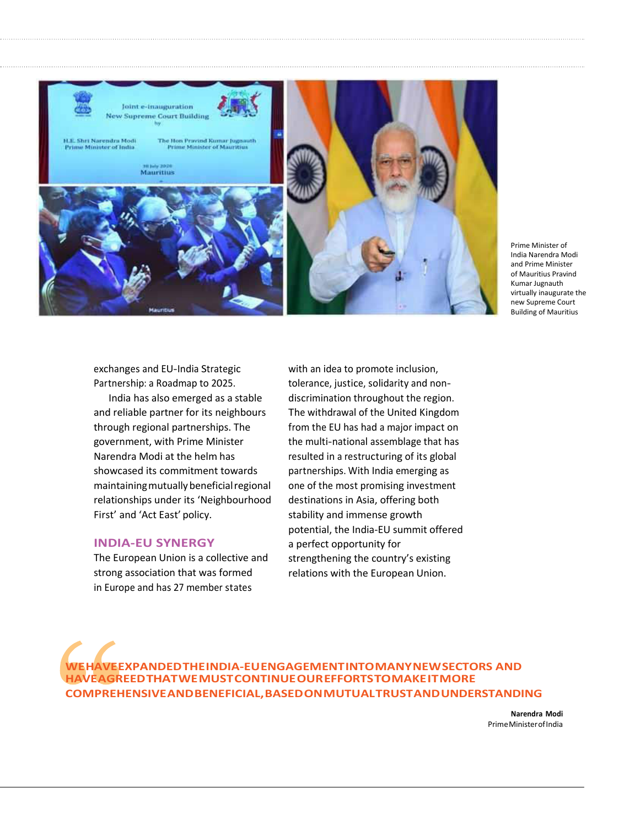

Prime Minister of India Narendra Modi and Prime Minister of Mauritius Pravind Kumar Jugnauth virtually inaugurate the new Supreme Court Building of Mauritius

exchanges and EU-India Strategic Partnership: a Roadmap to 2025.

India has also emerged as a stable and reliable partner for its neighbours through regional partnerships. The government, with Prime Minister Narendra Modi at the helm has showcased its commitment towards maintaining mutually beneficial regional relationships under its 'Neighbourhood First' and 'Act East' policy.

#### **INDIA-EU SYNERGY**

The European Union is a collective and strong association that was formed in Europe and has 27 member states

with an idea to promote inclusion, tolerance, justice, solidarity and nondiscrimination throughout the region. The withdrawal of the United Kingdom from the EU has had a major impact on the multi-national assemblage that has resulted in a restructuring of its global partnerships. With India emerging as one of the most promising investment destinations in Asia, offering both stability and immense growth potential, the India-EU summit offered a perfect opportunity for strengthening the country's existing relations with the European Union.

**WE HAVE EXPANDED THE INDIA-EU ENGAGEMENT INTO MANY NEW SECTORS AND HAVE AGREED THAT WE MUST CONTINUE OUR EFFORTS TOMAKE ITMORE COMPREHENSIVE AND BENEFICIAL, BASED ON MUTUAL TRUST AND UNDERSTANDING**

> **Narendra Modi** Prime Minister of India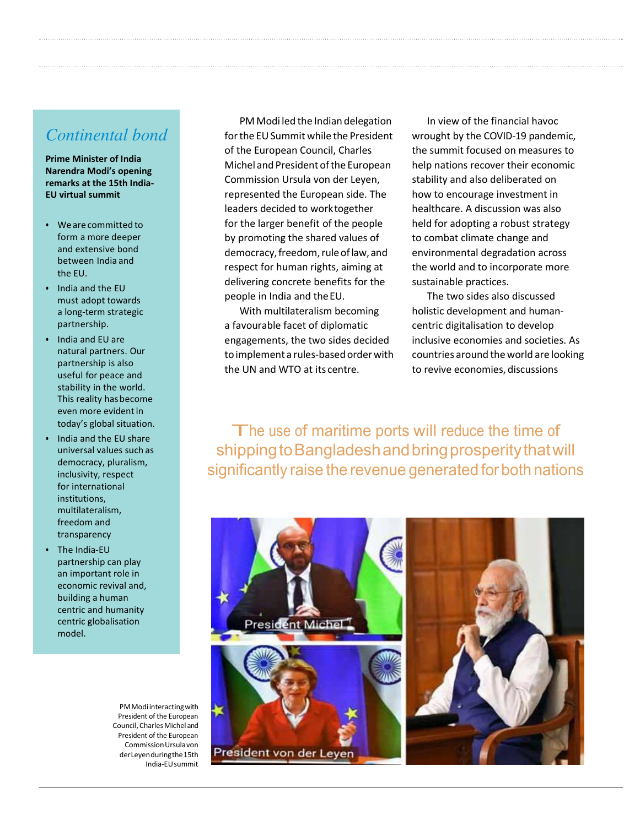## *Continental bond*

**Prime Minister of India Narendra Modi's opening remarks at the 15th India-EU virtual summit** 

- We are committed to form a more deeper and extensive bond between India and the EU.
- India and the EU must adopt towards a long-term strategic partnership.
- India and EU are natural partners. Our partnership is also useful for peace and stability in the world. This reality has become even more evident in today's global situation.
- India and the EU share universal values such as democracy, pluralism, inclusivity, respect for international institutions, multilateralism, freedom and transparency
- The India-EU partnership can play an important role in economic revival and, building a human centric and humanity centric globalisation model.

PM Modi interacting with President of the European Council, Charles Michel and President of the European Commission Ursula von der Leyen during the 15th India-EU summit

PM Modi led the Indian delegation for the EU Summit while the President of the European Council, Charles Michel and President of the European Commission Ursula von der Leyen, represented the European side. The leaders decided to work together for the larger benefit of the people by promoting the shared values of democracy, freedom, rule of law, and respect for human rights, aiming at delivering concrete benefits for the people in India and the EU.

With multilateralism becoming a favourable facet of diplomatic engagements, the two sides decided to implement a rules-based order with the UN and WTO at its centre.

In view of the financial havoc wrought by the COVID-19 pandemic, the summit focused on measures to help nations recover their economic stability and also deliberated on how to encourage investment in healthcare. A discussion was also held for adopting a robust strategy to combat climate change and environmental degradation across the world and to incorporate more sustainable practices.

The two sides also discussed holistic development and humancentric digitalisation to develop inclusive economies and societies. As countries around the world are looking to revive economies, discussions

The use of maritime ports will reduce the time of shipping to Bangladesh and bring prosperity that will significantly raise the revenue generated for both nations

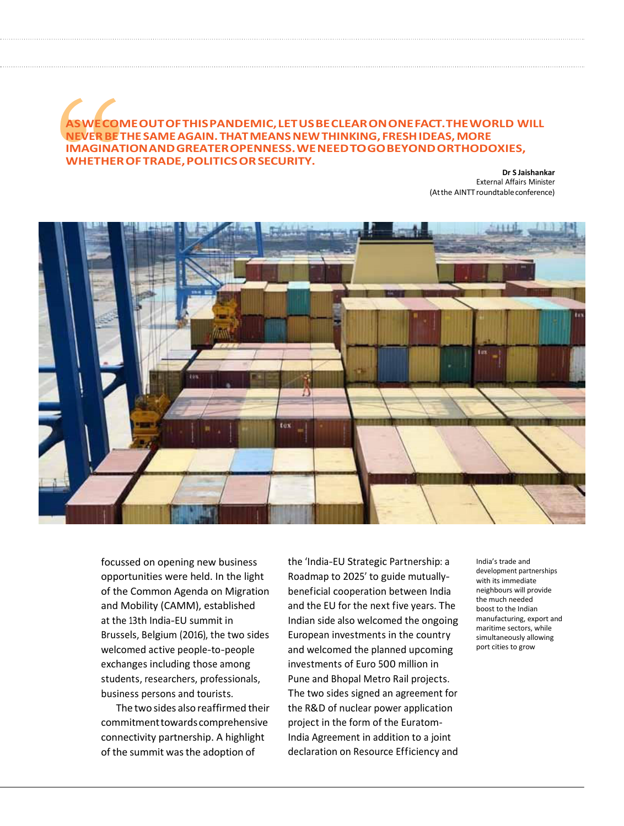## **ASWE COME OUT OF THIS PANDEMIC, LET USBE CLEAR ON ONE FACT. THE WORLD WILL NEVER BE THE SAME AGAIN. THAT MEANS NEW THINKING, FRESH IDEAS, MORE IMAGINATION AND GREATER OPENNESS. WE NEED TOGO BEYOND ORTHODOXIES, WHETHER OF TRADE, POLITICS OR SECURITY.**

**Dr S Jaishankar**  External Affairs Minister (At the AINTT roundtable conference)



focussed on opening new business opportunities were held. In the light of the Common Agenda on Migration and Mobility (CAMM), established at the 13th India-EU summit in Brussels, Belgium (2016), the two sides welcomed active people-to-people exchanges including those among students, researchers, professionals, business persons and tourists.

The two sides also reaffirmed their commitment towards comprehensive connectivity partnership. A highlight of the summit was the adoption of

the 'India-EU Strategic Partnership: a Roadmap to 2025' to guide mutuallybeneficial cooperation between India and the EU for the next five years. The Indian side also welcomed the ongoing European investments in the country and welcomed the planned upcoming investments of Euro 500 million in Pune and Bhopal Metro Rail projects. The two sides signed an agreement for the R&D of nuclear power application project in the form of the Euratom-India Agreement in addition to a joint declaration on Resource Efficiency and

India's trade and development partnerships with its immediate neighbours will provide the much needed boost to the Indian manufacturing, export and maritime sectors, while simultaneously allowing port cities to grow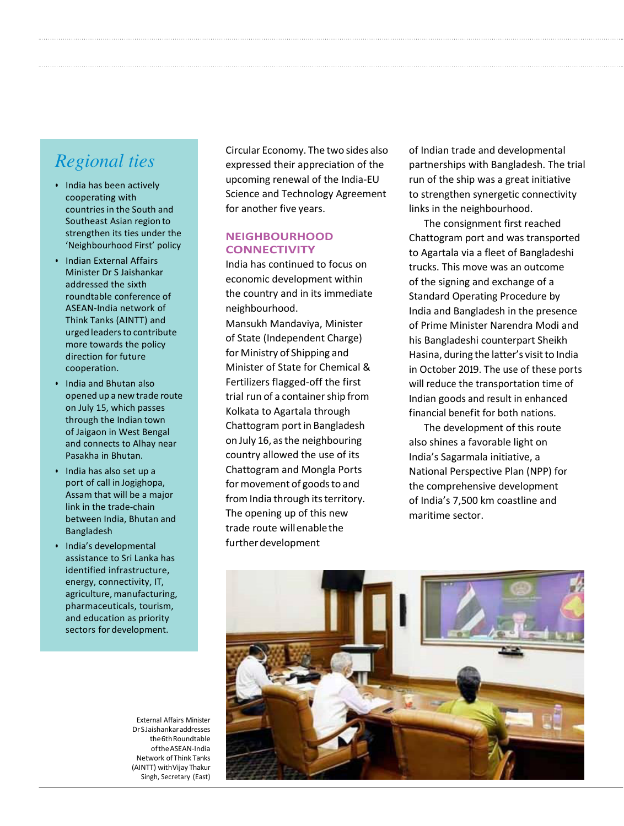# *Regional ties*

- India has been actively cooperating with countries in the South and Southeast Asian region to strengthen its ties under the 'Neighbourhood First' policy
- Indian External Affairs Minister Dr S Jaishankar addressed the sixth roundtable conference of ASEAN-India network of Think Tanks (AINTT) and urged leaders to contribute more towards the policy direction for future cooperation.
- India and Bhutan also opened up a new trade route on July 15, which passes through the Indian town of Jaigaon in West Bengal and connects to Alhay near Pasakha in Bhutan.
- India has also set up a port of call in Jogighopa, Assam that will be a major link in the trade-chain between India, Bhutan and Bangladesh
- India's developmental assistance to Sri Lanka has identified infrastructure, energy, connectivity, IT, agriculture, manufacturing, pharmaceuticals, tourism, and education as priority sectors for development.

External Affairs Minister Dr S Jaishankar addresses the 6th Roundtable ofthe ASEAN-India Network of Think Tanks (AINTT) with Vijay Thakur Singh, Secretary (East)

Circular Economy. The two sides also expressed their appreciation of the upcoming renewal of the India-EU Science and Technology Agreement for another five years.

### **NEIGHBOURHOOD CONNECTIVITY**

India has continued to focus on economic development within the country and in its immediate neighbourhood. Mansukh Mandaviya, Minister

of State (Independent Charge) for Ministry of Shipping and Minister of State for Chemical & Fertilizers flagged-off the first trial run of a container ship from Kolkata to Agartala through Chattogram port in Bangladesh on July 16, as the neighbouring country allowed the use of its Chattogram and Mongla Ports for movement of goods to and from India through its territory. The opening up of this new trade route will enable the further development

of Indian trade and developmental partnerships with Bangladesh. The trial run of the ship was a great initiative to strengthen synergetic connectivity links in the neighbourhood.

The consignment first reached Chattogram port and was transported to Agartala via a fleet of Bangladeshi trucks. This move was an outcome of the signing and exchange of a Standard Operating Procedure by India and Bangladesh in the presence of Prime Minister Narendra Modi and his Bangladeshi counterpart Sheikh Hasina, during the latter's visit to India in October 2019. The use of these ports will reduce the transportation time of Indian goods and result in enhanced financial benefit for both nations.

The development of this route also shines a favorable light on India's Sagarmala initiative, a National Perspective Plan (NPP) for the comprehensive development of India's 7,500 km coastline and maritime sector.